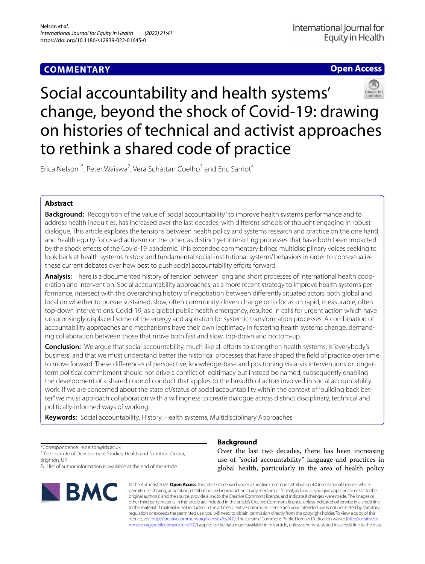# **COMMENTARY**

# **Open Access**



# Social accountability and health systems' change, beyond the shock of Covid-19: drawing on histories of technical and activist approaches to rethink a shared code of practice

Erica Nelson<sup>1\*</sup>, Peter Waiswa<sup>2</sup>, Vera Schattan Coelho<sup>3</sup> and Eric Sarriot<sup>4</sup>

# **Abstract**

**Background:** Recognition of the value of "social accountability" to improve health systems performance and to address health inequities, has increased over the last decades, with diferent schools of thought engaging in robust dialogue. This article explores the tensions between health policy and systems research and practice on the one hand, and health equity-focussed activism on the other, as distinct yet interacting processes that have both been impacted by the shock efects of the Covid-19 pandemic. This extended commentary brings multidisciplinary voices seeking to look back at health systems history and fundamental social-institutional systems' behaviors in order to contextualize these current debates over how best to push social accountability efforts forward.

**Analysis:** There is a documented history of tension between long and short processes of international health cooperation and intervention. Social accountability approaches, as a more recent strategy to improve health systems performance, intersect with this overarching history of negotiation between diferently situated actors both global and local on whether to pursue sustained, slow, often community-driven change or to focus on rapid, measurable, often top-down interventions. Covid-19, as a global public health emergency, resulted in calls for urgent action which have unsurprisingly displaced some of the energy and aspiration for systemic transformation processes. A combination of accountability approaches and mechanisms have their own legitimacy in fostering health systems change, demanding collaboration between those that move both fast and slow, top-down and bottom-up.

**Conclusion:** We arque that social accountability, much like all efforts to strengthen health systems, is "everybody's business" and that we must understand better the historical processes that have shaped the feld of practice over time to move forward. These diferences of perspective, knowledge-base and positioning vis-a-vis interventions or longerterm political commitment should not drive a confict of legitimacy but instead be named, subsequently enabling the development of a shared code of conduct that applies to the breadth of actors involved in social accountability work. If we are concerned about the state of/status of social accountability within the context of "building back better" we must approach collaboration with a willingness to create dialogue across distinct disciplinary, technical and politically-informed ways of working.

**Keywords:** Social accountability, History, Health systems, Multidisciplinary Approaches

\*Correspondence: e.nelson@ids.ac.uk

<sup>1</sup> The Institute of Development Studies, Health and Nutrition Cluster, Brighton, UK

Full list of author information is available at the end of the article



# **Background**

Over the last two decades, there has been increasing use of "social accountability" language and practices in global health, particularly in the area of health policy

© The Author(s) 2022. **Open Access** This article is licensed under a Creative Commons Attribution 4.0 International License, which permits use, sharing, adaptation, distribution and reproduction in any medium or format, as long as you give appropriate credit to the original author(s) and the source, provide a link to the Creative Commons licence, and indicate if changes were made. The images or other third party material in this article are included in the article's Creative Commons licence, unless indicated otherwise in a credit line to the material. If material is not included in the article's Creative Commons licence and your intended use is not permitted by statutory regulation or exceeds the permitted use, you will need to obtain permission directly from the copyright holder. To view a copy of this licence, visit [http://creativecommons.org/licenses/by/4.0/.](http://creativecommons.org/licenses/by/4.0/) The Creative Commons Public Domain Dedication waiver ([http://creativeco](http://creativecommons.org/publicdomain/zero/1.0/) [mmons.org/publicdomain/zero/1.0/](http://creativecommons.org/publicdomain/zero/1.0/)) applies to the data made available in this article, unless otherwise stated in a credit line to the data.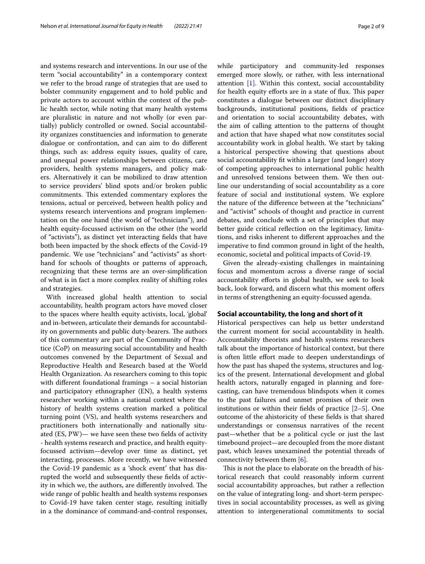and systems research and interventions. In our use of the term "social accountability" in a contemporary context we refer to the broad range of strategies that are used to bolster community engagement and to hold public and private actors to account within the context of the public health sector, while noting that many health systems are pluralistic in nature and not wholly (or even partially) publicly controlled or owned. Social accountability organizes constituencies and information to generate dialogue or confrontation, and can aim to do diferent things, such as: address equity issues, quality of care, and unequal power relationships between citizens, care providers, health systems managers, and policy makers. Alternatively it can be mobilized to draw attention to service providers' blind spots and/or broken public commitments. This extended commentary explores the tensions, actual or perceived, between health policy and systems research interventions and program implementation on the one hand (the world of "technicians"), and health equity-focussed activism on the other (the world of "activists"), as distinct yet interacting felds that have both been impacted by the shock efects of the Covid-19 pandemic. We use "technicians" and "activists" as shorthand for schools of thoughts or patterns of approach, recognizing that these terms are an over-simplifcation of what is in fact a more complex reality of shifting roles and strategies.

With increased global health attention to social accountability, health program actors have moved closer to the spaces where health equity activists, local, 'global' and in-between, articulate their demands for accountability on governments and public duty-bearers. The authors of this commentary are part of the Community of Practice (CoP) on measuring social accountability and health outcomes convened by the Department of Sexual and Reproductive Health and Research based at the World Health Organization. As researchers coming to this topic with diferent foundational framings – a social historian and participatory ethnographer (EN), a health systems researcher working within a national context where the history of health systems creation marked a political turning point (VS), and health systems researchers and practitioners both internationally and nationally situated (ES, PW)— we have seen these two felds of activity - health systems research and practice, and health equityfocussed activism—develop over time as distinct, yet interacting, processes. More recently, we have witnessed the Covid-19 pandemic as a 'shock event' that has disrupted the world and subsequently these felds of activity in which we, the authors, are differently involved. The wide range of public health and health systems responses to Covid-19 have taken center stage, resulting initially in a the dominance of command-and-control responses,

while participatory and community-led responses emerged more slowly, or rather, with less international attention [\[1](#page-7-0)]. Within this context, social accountability for health equity efforts are in a state of flux. This paper constitutes a dialogue between our distinct disciplinary backgrounds, institutional positions, felds of practice and orientation to social accountability debates, with the aim of calling attention to the patterns of thought and action that have shaped what now constitutes social accountability work in global health. We start by taking a historical perspective showing that questions about social accountability ft within a larger (and longer) story of competing approaches to international public health and unresolved tensions between them. We then outline our understanding of social accountability as a core feature of social and institutional system. We explore the nature of the diference between at the "technicians" and "activist" schools of thought and practice in current debates, and conclude with a set of principles that may better guide critical reflection on the legitimacy, limitations, and risks inherent to diferent approaches and the imperative to fnd common ground in light of the health, economic, societal and political impacts of Covid-19.

Given the already-existing challenges in maintaining focus and momentum across a diverse range of social accountability efforts in global health, we seek to look back, look forward, and discern what this moment offers in terms of strengthening an equity-focussed agenda.

# **Social accountability, the long and short of it**

Historical perspectives can help us better understand the current moment for social accountability in health. Accountability theorists and health systems researchers talk about the importance of historical context, but there is often little effort made to deepen understandings of how the past has shaped the systems, structures and logics of the present. International development and global health actors, naturally engaged in planning and forecasting, can have tremendous blindspots when it comes to the past failures and unmet promises of their own institutions or within their fields of practice  $[2-5]$  $[2-5]$ . One outcome of the ahistoricity of these felds is that shared understandings or consensus narratives of the recent past—whether that be a political cycle or just the last timebound project—are decoupled from the more distant past, which leaves unexamined the potential threads of connectivity between them  $[6]$  $[6]$ .

This is not the place to elaborate on the breadth of historical research that could reasonably inform current social accountability approaches, but rather a refection on the value of integrating long- and short-term perspectives in social accountability processes, as well as giving attention to intergenerational commitments to social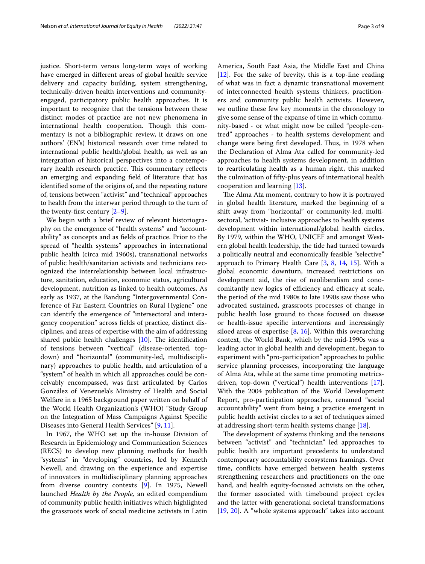justice. Short-term versus long-term ways of working have emerged in diferent areas of global health: service delivery and capacity building, system strengthening, technically-driven health interventions and communityengaged, participatory public health approaches. It is important to recognize that the tensions between these distinct modes of practice are not new phenomena in international health cooperation. Though this commentary is not a bibliographic review, it draws on one authors' (EN's) historical research over time related to international public health/global health, as well as an intergration of historical perspectives into a contemporary health research practice. This commentary reflects an emerging and expanding feld of literature that has identifed some of the origins of, and the repeating nature of, tensions between "activist" and "technical" approaches to health from the interwar period through to the turn of the twenty-first century  $[2-9]$  $[2-9]$ .

We begin with a brief review of relevant historiography on the emergence of "health systems" and "accountability" as concepts and as felds of practice. Prior to the spread of "health systems" approaches in international public health (circa mid 1960s), transnational networks of public health/sanitarian activists and technicians recognized the interrelationship between local infrastructure, sanitation, education, economic status, agricultural development, nutrition as linked to health outcomes. As early as 1937, at the Bandung "Intergovernmental Conference of Far Eastern Countries on Rural Hygiene" one can identify the emergence of "intersectoral and interagency cooperation" across felds of practice, distinct disciplines, and areas of expertise with the aim of addressing shared public health challenges  $[10]$ . The identification of tensions between "vertical" (disease-oriented, topdown) and "horizontal" (community-led, multidisciplinary) approaches to public health, and articulation of a "system" of health in which all approaches could be conceivably encompassed, was frst articulated by Carlos González of Venezuela's Ministry of Health and Social Welfare in a 1965 background paper written on behalf of the World Health Organization's (WHO) "Study Group on the Integration of Mass Campaigns Against Specifc Diseases into General Health Services" [\[9](#page-7-4), [11\]](#page-7-6).

In 1967, the WHO set up the in-house Division of Research in Epidemiology and Communication Sciences (RECS) to develop new planning methods for health "systems" in "developing" countries, led by Kenneth Newell, and drawing on the experience and expertise of innovators in multidisciplinary planning approaches from diverse country contexts [[9\]](#page-7-4). In 1975, Newell launched *Health by the People,* an edited compendium of community public health initiatives which highlighted the grassroots work of social medicine activists in Latin America, South East Asia, the Middle East and China [[12\]](#page-7-7). For the sake of brevity, this is a top-line reading of what was in fact a dynamic transnational movement of interconnected health systems thinkers, practitioners and community public health activists. However, we outline these few key moments in the chronology to give some sense of the expanse of time in which community-based - or what might now be called "people-centred" approaches - to health systems development and change were being first developed. Thus, in 1978 when the Declaration of Alma Ata called for community-led approaches to health systems development, in addition to rearticulating health as a human right, this marked the culmination of ffty-plus years of international health

cooperation and learning [\[13](#page-7-8)]. The Alma Ata moment, contrary to how it is portrayed in global health literature, marked the beginning of a shift away from "horizontal" or community-led, multisectoral, 'activist- inclusive approaches to health systems development within international/global health circles. By 1979, within the WHO, UNICEF and amongst Western global health leadership, the tide had turned towards a politically neutral and economically feasible "selective" approach to Primary Health Care [\[3](#page-7-9), [8,](#page-7-10) [14,](#page-7-11) [15\]](#page-7-12). With a global economic downturn, increased restrictions on development aid, the rise of neoliberalism and conocomitantly new logics of efficiency and efficacy at scale, the period of the mid 1980s to late 1990s saw those who advocated sustained, grassroots processes of change in public health lose ground to those focused on disease or health-issue specifc interventions and increasingly siloed areas of expertise  $[8, 16]$  $[8, 16]$  $[8, 16]$  $[8, 16]$  $[8, 16]$ . Within this overarching context, the World Bank, which by the mid-1990s was a leading actor in global health and development, began to experiment with "pro-participation" approaches to public service planning processes, incorporating the language of Alma Ata, while at the same time promoting metricsdriven, top-down ("vertical") health interventions [\[17](#page-7-14)]. With the 2004 publication of the World Development Report, pro-participation approaches, renamed "social accountability" went from being a practice emergent in public health activist circles to a set of techniques aimed at addressing short-term health systems change [[18\]](#page-7-15).

The development of systems thinking and the tensions between "activist" and "technician" led approaches to public health are important precedents to understand contemporary accountability ecosystems framings. Over time, conficts have emerged between health systems strengthening researchers and practitioners on the one hand, and health equity-focussed activists on the other, the former associated with timebound project cycles and the latter with generational societal transformations [[19,](#page-7-16) [20](#page-7-17)]. A "whole systems approach" takes into account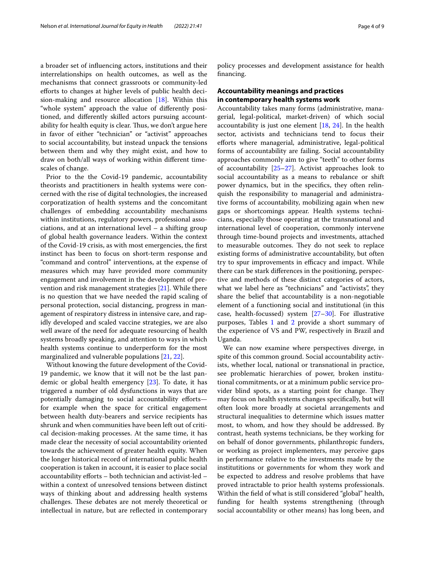a broader set of infuencing actors, institutions and their interrelationships on health outcomes, as well as the mechanisms that connect grassroots or community-led eforts to changes at higher levels of public health decision-making and resource allocation [\[18](#page-7-15)]. Within this "whole system" approach the value of diferently positioned, and diferently skilled actors pursuing accountability for health equity is clear. Thus, we don't argue here in favor of either "technician" or "activist" approaches to social accountability, but instead unpack the tensions between them and why they might exist, and how to draw on both/all ways of working within diferent timescales of change.

Prior to the the Covid-19 pandemic, accountability theorists and practitioners in health systems were concerned with the rise of digital technologies, the increased corporatization of health systems and the concomitant challenges of embedding accountability mechanisms within institutions, regulatory powers, professional associations, and at an international level – a shifting group of global health governance leaders. Within the context of the Covid-19 crisis, as with most emergencies, the frst instinct has been to focus on short-term response and "command and control" interventions, at the expense of measures which may have provided more community engagement and involvement in the development of prevention and risk management strategies [\[21](#page-7-18)]. While there is no question that we have needed the rapid scaling of personal protection, social distancing, progress in management of respiratory distress in intensive care, and rapidly developed and scaled vaccine strategies, we are also well aware of the need for adequate resourcing of health systems broadly speaking, and attention to ways in which health systems continue to underperform for the most marginalized and vulnerable populations [[21,](#page-7-18) [22\]](#page-7-19).

Without knowing the future development of the Covid-19 pandemic, we know that it will not be the last pandemic or global health emergency [\[23\]](#page-7-20). To date, it has triggered a number of old dysfunctions in ways that are potentially damaging to social accountability effortsfor example when the space for critical engagement between health duty-bearers and service recipients has shrunk and when communities have been left out of critical decision-making processes. At the same time, it has made clear the necessity of social accountability oriented towards the achievement of greater health equity. When the longer historical record of international public health cooperation is taken in account, it is easier to place social accountability efforts - both technician and activist-led within a context of unresolved tensions between distinct ways of thinking about and addressing health systems challenges. These debates are not merely theoretical or intellectual in nature, but are refected in contemporary policy processes and development assistance for health fnancing.

# **Accountability meanings and practices in contemporary health systems work**

Accountability takes many forms (administrative, managerial, legal-political, market-driven) of which social accountability is just one element [[18,](#page-7-15) [24\]](#page-7-21). In the health sector, activists and technicians tend to focus their eforts where managerial, administrative, legal-political forms of accountability are failing. Social accountability approaches commonly aim to give "teeth" to other forms of accountability [\[25](#page-7-22)[–27](#page-8-0)]. Activist approaches look to social accountability as a means to rebalance or shift power dynamics, but in the specifcs, they often relinquish the responsibility to managerial and administrative forms of accountability, mobilizing again when new gaps or shortcomings appear. Health systems technicians, especially those operating at the transnational and international level of cooperation, commonly intervene through time-bound projects and investments, attached to measurable outcomes. They do not seek to replace existing forms of administrative accountability, but often try to spur improvements in efficacy and impact. While there can be stark diferences in the positioning, perspective and methods of these distinct categories of actors, what we label here as "technicians" and "activists", they share the belief that accountability is a non-negotiable element of a functioning social and institutional (in this case, health-focussed) system  $[27-30]$  $[27-30]$  $[27-30]$ . For illustrative purposes, Tables [1](#page-4-0) and [2](#page-4-1) provide a short summary of the experience of VS and PW, respectively in Brazil and Uganda.

We can now examine where perspectives diverge, in spite of this common ground. Social accountability activists, whether local, national or transnational in practice, see problematic hierarchies of power, broken institutional commitments, or at a minimum public service provider blind spots, as a starting point for change. They may focus on health systems changes specifcally, but will often look more broadly at societal arrangements and structural inequalities to determine which issues matter most, to whom, and how they should be addressed. By contrast, heath systems technicians, be they working for on behalf of donor governments, philanthropic funders, or working as project implementers, may perceive gaps in performance relative to the investments made by the institutitions or governments for whom they work and be expected to address and resolve problems that have proved intractable to prior health systems professionals. Within the feld of what is still considered "global" health, funding for health systems strengthening (through social accountability or other means) has long been, and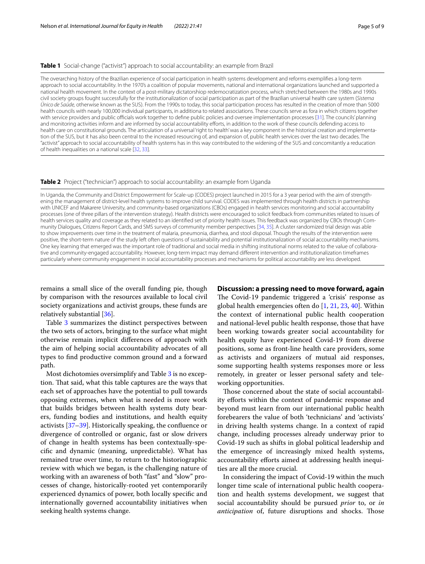# <span id="page-4-0"></span>**Table 1** Social-change ("activist") approach to social accountability: an example from Brazil

The overarching history of the Brazilian experience of social participation in health systems development and reforms exemplifes a long-term approach to social accountability. In the 1970's a coalition of popular movements, national and international organizations launched and supported a national health movement. In the context of a post-military dictatorshiop redemocratization process, which stretched between the 1980s and 1990s civil society groups fought successfully for the institutionalization of social participation as part of the Brazilian universal health care system (*Sistema Único de Saúde,* otherwise known as the SUS). From the 1990s to today, this social participation process has resulted in the creation of more than 5000 health councils with nearly 100,000 individual participants, in additiona to related associations. These councils serve as fora in which citizens together with service providers and public officials work together to define public policies and oversee implementation processes [\[31\]](#page-8-6). The councils' planning and monitoring activities inform and are informed by social accountability eforts, in addition to the work of these councils defending access to health care on constitutional grounds. The articulation of a universal 'right to health' was a key component in the historical creation and implementation of the SUS, but it has also been central to the increased resourcing of, and expansion of, public health services over the last two decades. The "activist" approach to social accountability of health systems has in this way contributed to the widening of the SUS and concomitantly a reducation of health inequalities on a national scale [[32,](#page-8-7) [33\]](#page-8-8).

## <span id="page-4-1"></span>**Table 2** Project ("technician") approach to social accountability: an example from Uganda

In Uganda, the Community and District Empowerment for Scale-up (CODES) project launched in 2015 for a 3 year period with the aim of strengthening the management of district-level health systems to improve child survival. CODES was implemented through health districts in partnership with UNICEF and Makarere University, and community-based organizations (CBOs) engaged in health services monitoring and social accountability processes (one of three pillars of the intervention strategy). Health districts were encouraged to solicit feedback from communities related to issues of health services quality and coverage as they related to an identifed set of priority health issues. This feedback was organized by CBOs through Community Dialogues, Citizens Report Cards, and SMS surveys of community member perspectives [\[34](#page-8-9), [35](#page-8-10)]. A cluster randomized trial design was able to show improvements over time in the treatment of malaria, pneumonia, diarrhea, and stool disposal. Though the results of the intervention were positive, the short-term nature of the study left often questions of sustainability and potential institutionalization of social accountability mechanisms. One key learning that emerged was the important role of traditional and social media in shifting institutional norms related to the value of collaborative and community-engaged accountability. However, long-term impact may demand diferent intervention and institutionalization timeframes particularly where community engagement in social accountability processes and mechanisms for political accountability are less developed.

remains a small slice of the overall funding pie, though by comparison with the resources available to local civil society organizations and activist groups, these funds are relatively substantial [[36](#page-8-2)].

Table [3](#page-5-0) summarizes the distinct perspectives between the two sets of actors, bringing to the surface what might otherwise remain implicit diferences of approach with the aim of helping social accountability advocates of all types to fnd productive common ground and a forward path.

Most dichotomies oversimplify and Table [3](#page-5-0) is no exception. That said, what this table captures are the ways that each set of approaches have the potential to pull towards opposing extremes, when what is needed is more work that builds bridges between health systems duty bearers, funding bodies and institutions, and health equity activists [\[37](#page-8-3)[–39](#page-8-4)]. Historically speaking, the confuence or divergence of controlled or organic, fast or slow drivers of change in health systems has been contextually-specifc and dynamic (meaning, unpredictable). What has remained true over time, to return to the historiographic review with which we began, is the challenging nature of working with an awareness of both "fast" and "slow" processes of change, historically-rooted yet contemporarily experienced dynamics of power, both locally specifc and internationally governed accountability initiatives when seeking health systems change.

## **Discussion: a pressing need to move forward, again**

The Covid-19 pandemic triggered a 'crisis' response as global health emergencies often do  $[1, 21, 23, 40]$  $[1, 21, 23, 40]$  $[1, 21, 23, 40]$  $[1, 21, 23, 40]$  $[1, 21, 23, 40]$  $[1, 21, 23, 40]$ . Within the context of international public health cooperation and national-level public health response, those that have been working towards greater social accountability for health equity have experienced Covid-19 from diverse positions, some as front-line health care providers, some as activists and organizers of mutual aid responses, some supporting health systems responses more or less remotely, in greater or lesser personal safety and teleworking opportunities.

Those concerned about the state of social accountability efforts within the context of pandemic response and beyond must learn from our international public health forebearers the value of both 'technicians' and 'activists' in driving health systems change. In a context of rapid change, including processes already underway prior to Covid-19 such as shifts in global political leadership and the emergence of increasingly mixed health systems, accountability efforts aimed at addressing health inequities are all the more crucial.

In considering the impact of Covid-19 within the much longer time scale of international public health cooperation and health systems development, we suggest that social accountability should be pursued *prior* to, or *in anticipation* of, future disruptions and shocks. Those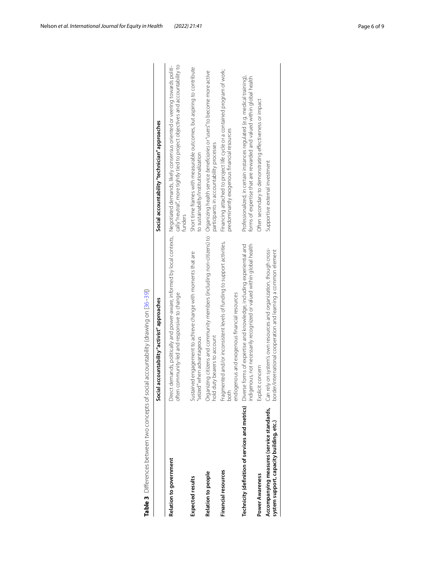|                                          | Social accountability "activist" approaches                                                                                                                                                  | Social accountability "technician" approaches                                                                                                                                                                                                  |
|------------------------------------------|----------------------------------------------------------------------------------------------------------------------------------------------------------------------------------------------|------------------------------------------------------------------------------------------------------------------------------------------------------------------------------------------------------------------------------------------------|
| Relation to government                   | often community-led and responsive to change                                                                                                                                                 | cally "neutral", more tightly tied to project objectives and accountability to<br>Direct demands, politically and power-aware, informed by local contexts, Megotiated demands, likely consensus oriented or veering towards politi-<br>funders |
| Expected results                         | Sustained engagement to achieve change with moments that are<br>"seized" when advantageous                                                                                                   | Short time frames with measurable outcomes, but aspiring to contribute<br>to sustainability/institutionalization                                                                                                                               |
| Relation to people                       | Organizing citizens and community members (including non-citizens) to Organizing health service beneficiaries or "users" to become more active<br>hold duty bearers to account               | participants in accountability processes                                                                                                                                                                                                       |
| Financial resources                      | Fragmented and/or inconsistent levels of funding to support activities,<br>endogenous and exogenous financial resources<br>both                                                              | Financing attached to project life cycle or a contained program of work;<br>predominantly exogenous financial resources                                                                                                                        |
|                                          | ndigenous, not necessarily recognized or valued within global health<br>Technicity (definition of services and metrics) Diverse forms of expertise and knowledge, including experiential and | Professionalized, in certain instances regulated (e.g. medical training),<br>forms of expertise that are rewarded and valued within global health                                                                                              |
| Power Awareness                          | Explicit concern                                                                                                                                                                             | Often secondary to demonstrating effectiveness or impact                                                                                                                                                                                       |
| system support, capacity building, etc.) | Accompanying measures (service standards, Can rely on system's own resources and organization, though cross-<br>border/international cooperation and learning a common element               | Supportive external investment                                                                                                                                                                                                                 |

<span id="page-5-0"></span>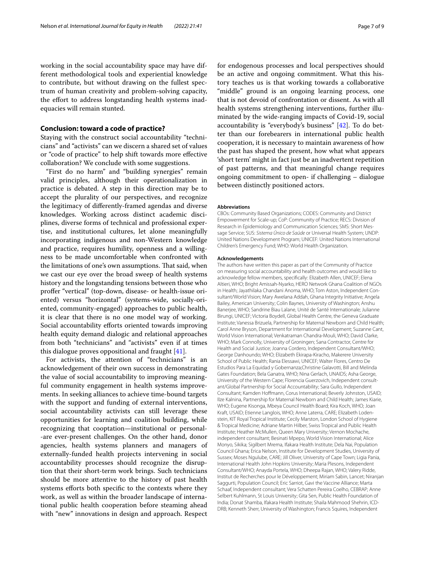working in the social accountability space may have different methodological tools and experiential knowledge to contribute, but without drawing on the fullest spectrum of human creativity and problem-solving capacity, the effort to address longstanding health systems inadequacies will remain stunted.

# **Conclusion: toward a code of practice?**

Staying with the construct social accountability "technicians" and "activists" can we discern a shared set of values or "code of practice" to help shift towards more efective collaboration? We conclude with some suggestions.

"First do no harm" and "building synergies" remain valid principles, although their operationalization in practice is debated. A step in this direction may be to accept the plurality of our perspectives, and recognize the legitimacy of diferently-framed agendas and diverse knowledges. Working across distinct academic disciplines, diverse forms of technical and professional expertise, and institutional cultures, let alone meaningfully incorporating indigenous and non-Western knowledge and practice, requires humility, openness and a willingness to be made uncomfortable when confronted with the limitations of one's own assumptions. That said, when we cast our eye over the broad sweep of health systems history and the longstanding tensions between those who profer "vertical" (top-down, disease- or health-issue oriented) versus "horizontal" (systems-wide, socially-oriented, community-engaged) approaches to public health, it is clear that there is no one model way of working. Social accountability efforts oriented towards improving health equity demand dialogic and relational approaches from both "technicians" and "activists" even if at times this dialogue proves oppositional and fraught [\[41](#page-8-11)].

For activists, the attention of "technicians" is an acknowledgement of their own success in demonstrating the value of social accountability to improving meaningful community engagement in health systems improvements. In seeking alliances to achieve time-bound targets with the support and funding of external interventions, social accountability activists can still leverage these opportunities for learning and coalition building, while recognizing that cooptation—institutional or personal- -are ever-present challenges. On the other hand, donor agencies, health systems planners and managers of externally-funded health projects intervening in social accountability processes should recognize the disruption that their short-term work brings. Such technicians should be more attentive to the history of past health systems efforts both specific to the contexts where they work, as well as within the broader landscape of international public health cooperation before steaming ahead with "new" innovations in design and approach. Respect for endogenous processes and local perspectives should be an active and ongoing commitment. What this history teaches us is that working towards a collaborative "middle" ground is an ongoing learning process, one that is not devoid of confrontation or dissent. As with all health systems strengthening interventions, further illuminated by the wide-ranging impacts of Covid-19, social accountability is "everybody's business" [\[42](#page-8-12)]. To do better than our forebearers in international public health cooperation, it is necessary to maintain awareness of how the past has shaped the present, how what what appears 'short term' might in fact just be an inadvertent repetition of past patterns, and that meaningful change requires ongoing commitment to open- if challenging – dialogue between distinctly positioned actors.

#### **Abbreviations**

CBOs: Community Based Organizations; CODES: Community and District Empowerment for Scale-up; CoP: Community of Practice; RECS: Division of Research in Epidemiology and Communication Sciences; SMS: Short Message Service; SUS: *Sistema Único de Saúde* or Universal Health System; UNDP: United Nations Development Program; UNICEF: United Nations International Children's Emergency Fund; WHO: World Health Organization.

#### **Acknowledgements**

The authors have written this paper as part of the Community of Practice on measuring social accountability and health outcomes and would like to acknowledge fellow members, specifcally: Elizabeth Allen, UNICEF; Elena Altieri, WHO; Bright Amissah-Nyarko, HERO Network Ghana Coalition of NGOs in Health; Jayathilaka Chandani Anoma, WHO; Tom Aston, Independent Consultant/World Vision; Mary Awelana Addah, Ghana Integrity Initiative; Angela Bailey, American University; Colin Baynes, University of Washington; Anshu Banerjee, WHO; Sandrine Biau Lalane, Unité de Santé Internationale; Julianne Birungi, UNICEF; Victoria Boydell, Global Health Centre, the Geneva Graduate Institute; Vanessa Brizuela, Partnership for Maternal Newborn and Child Health; Carol Anne Bryson, Department for International Development; Suzanne Cant, World Vision International; Venkatraman Chandra-Mouli, WHO; David Clarke, WHO; Mark Connolly, University of Groningen; Sana Contractor, Centre for Health and Social Justice; Joanna Cordero, Independent Consultant/WHO; George Danhoundo; WHO; Elizabeth Ekirapa-Kiracho, Makerere University School of Public Health; Rania Elessawi, UNICEF; Walter Flores, Centro De Estudios Para La Equidad y Gobernanza;Christine Galavotti, Bill and Melinda Gates Foundation; Bela Ganatra, WHO; Nina Gerlach, UNAIDS; Asha George, University of the Western Cape; Florencia Guerzovich, Independent consultant/Global Partnership for Social Accountability; Sara Gullo, Independent Consultant; Kamden Hofmann, Corus International; Beverly Johnston, USAID; Ilze Kalnina, Partnership for Maternal Newborn and Child Health; James Kiarie, WHO; Eugene Kisonga, Mbeya Council Health Board; Kira Koch, WHO; Joan Kraft, USAID; Etienne Langlois, WHO; Anne Laterra, CARE; Elizabeth Lodenstein, KIT Royal Tropical Institute; Cecily Marston, London School of Hygiene & Tropical Medicine; Adriane Martin Hilber, Swiss Tropical and Public Health Institute; Heather McMullen, Queen Mary University; Vernon Mochache, independent consultant; Besinati Mpepo, World Vision International; Alice Monyo, Sikika; Sigilbert Mrema, Ifakara Health Institute; Dela Nai, Population Council Ghana; Erica Nelson, Institute for Development Studies, University of Sussex; Moses Ngulube, CARE; Jill Oliver, University of Cape Town; Ligia Pania, International Health John Hopkins University; Maria Plesons, Independent Consultant/WHO; Anayda Portela, WHO; Dheepa Rajan, WHO; Valery Ridde, Institut de Recherches pour le Développement; Miriam Sabin, Lancet; Niranjan Saggurti, Population Council; Eric Sarriot, Gavi the Vaccine Alliance; Marta Schaaf, Independent consultant; Vera Schatten Pereira Coelho, CEBRAP; Anne Selbert Kuhlmann, St Louis University; Gita Sen, Public Health Foundation of India; Donat Shamba, Ifakara Health Institute; Shaila Mahmood Shehrin, ICD-DRB; Kenneth Sherr, University of Washington; Francis Squires, Independent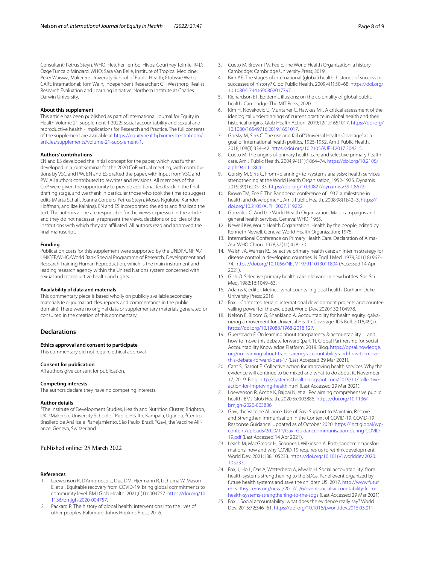Consultant; Petrus Steyn, WHO; Fletcher Tembo, Hivos; Courtney Tolmie, R4D; Özge Tuncalp Mingard, WHO; Sara Van Belle, Institute of Tropical Medicine; Peter Waiswa, Makerere University School of Public Health; Etobssie Wako, CARE International; Tom Wein, Independent Researcher; Gill Westhorp, Realist Research Evaluation and Learning Initiative, Northern Institute at Charles

## **About this supplement**

Darwin University.

This article has been published as part of International Journal for Equity in Health Volume 21 Supplement 1 2022: Social accountability and sexual and reproductive health - Implications for Research and Practice. The full contents of the supplement are available at [https://equityhealthj.biomedcentral.com/](https://equityhealthj.biomedcentral.com/articles/supplements/volume-21-supplement-1) [articles/supplements/volume-21-supplement-1](https://equityhealthj.biomedcentral.com/articles/supplements/volume-21-supplement-1).

#### **Authors' contributions**

EN and ES developed the initial concept for the paper, which was further developed in a joint seminar for the 2020 CoP virtual meeting, with contributions by VSC and PW. EN and ES drafted the paper, with input from VSC and PW. All authors contributed to rewrites and revisions. All members of the CoP were given the opportunity to provide additional feedback in the fnal drafting stage, and we thank in particular those who took the time to suggest edits (Marta Schaff, Joanna Cordero, Petrus Steyn, Moses Ngulube, Kamden, Hofman, and Ilze Kalnina). EN and ES incorporated the edits and fnalized the text. The authors alone are responsible for the views expressed in the article and they do not necessarily represent the views, decisions or policies of the institutions with which they are afliated. All authors read and approved the fnal manuscript.

# **Funding**

Publication costs for this supplement were supported by the UNDP/UNFPA/ UNICEF/WHO/World Bank Special Programme of Research, Development and Research Training Human Reproduction, which is the main instrument and leading research agency within the United Nations system concerned with sexual and reproductive health and rights.

#### **Availability of data and materials**

This commentary piece is based wholly on publicly available secondary materials (e.g. journal articles, reports and commentaries in the public domain). There were no original data or supplementary materials generated or consulted in the creation of this commentary.

#### **Declarations**

#### **Ethics approval and consent to participate**

This commentary did not require ethical approval.

# **Consent for publication**

All authors give consent for publication.

#### **Competing interests**

The authors declare they have no competing interests.

#### **Author details**

<sup>1</sup>The Institute of Development Studies, Health and Nutrition Cluster, Brighton, UK.<sup>2</sup> Makerere University School of Public Health, Kampala, Uganda. <sup>3</sup> Centro Brasilero de Análise e Planejamiento, São Paulo, Brazil. <sup>4</sup>Gavi, the Vaccine Alliance, Geneva, Switzerland.

# Published online: 25 March 2022

#### **References**

- <span id="page-7-0"></span>Loewenson R, D'Ambruoso L, Duc DM, Hjermann R, Lichuma W, Mason E, et al. Equitable recovery from COVID-19: bring global commitments to community level. BMJ Glob Health. 2021;6(1):e004757. [https://doi.org/10.](https://doi.org/10.1136/bmjgh-2020-004757) [1136/bmjgh-2020-004757](https://doi.org/10.1136/bmjgh-2020-004757).
- <span id="page-7-1"></span>2. Packard R. The history of global health: interventions into the lives of other peoples. Baltimore: Johns Hopkins Press; 2016.
- <span id="page-7-9"></span>3. Cueto M, Brown TM, Fee E. The World Health Organization: a history. Cambridge: Cambridge University Press; 2019.
- 4. Birn AE. The stages of international (global) health: histories of success or successes of history? Glob Public Health. 2009;4(1):50–68. [https://doi.org/](https://doi.org/10.1080/17441690802017797) [10.1080/17441690802017797.](https://doi.org/10.1080/17441690802017797)
- <span id="page-7-2"></span>5. Richardson ET. Epidemic illusions: on the coloniality of global public health. Cambridge: The MIT Press; 2020.
- <span id="page-7-3"></span>6. Kim H, Novakovic U, Muntaner C, Hawkes MT. A critical assessment of the ideological underpinnings of current practice in global health and their historical origins. Glob Health Action. 2019;12(1):1651017. [https://doi.org/](https://doi.org/10.1080/16549716.2019.1651017) [10.1080/16549716.2019.1651017.](https://doi.org/10.1080/16549716.2019.1651017)
- 7. Gorsky M, Sirrs C. The rise and fall of "Universal Health Coverage" as a goal of international health politics, 1925-1952. Am J Public Health. 2018;108(3):334–42. <https://doi.org/10.2105/AJPH.2017.304215>.
- <span id="page-7-10"></span>8. Cueto M. The origins of primary health care and selective primary health care. Am J Public Health. 2004;94(11):1864–74. [https://doi.org/10.2105/](https://doi.org/10.2105/ajph.94.11.1864) [ajph.94.11.1864](https://doi.org/10.2105/ajph.94.11.1864).
- <span id="page-7-4"></span>9. Gorsky M, Sirrs C. From «planning» to «systems analysis»: health services strengthening at the World Health Organisation, 1952-1975. Dynamis. 2019;39(1):205–33. [https://doi.org/10.30827/dynamis.v39i1.8672.](https://doi.org/10.30827/dynamis.v39i1.8672)
- <span id="page-7-5"></span>10. Brown TM, Fee E. The Bandoeng conference of 1937: a milestone in health and development. Am J Public Health. 2008;98(1):42–3. [https://](https://doi.org/10.2105/AJPH.2007.119222) [doi.org/10.2105/AJPH.2007.119222](https://doi.org/10.2105/AJPH.2007.119222).
- <span id="page-7-6"></span>11. González C. And the World Health Organization. Mass campaigns and general health services. Geneva: WHO; 1965.
- <span id="page-7-7"></span>12. Newell KW, World Health Organization. Health by the people, edited by Kenneth Newell. Geneva: World Health Organization; 1975.
- <span id="page-7-8"></span>13. International Conference on Primary Health Care. Declaration of Alma-Ata. WHO Chron. 1978;32(11):428–30.
- <span id="page-7-11"></span>14. Walsh JA, Warren KS. Selective primary health care: an interim strategy for disease control in developing countries. N Engl J Med. 1979;301(18):967– 74. <https://doi.org/10.1056/NEJM197911013011804>(Accessed 14 Apr 2021).
- <span id="page-7-12"></span>15. Gish O. Selective primary health care: old wine in new bottles. Soc Sci Med. 1982;16:1049–63.
- <span id="page-7-13"></span>16. Adams V, editor. Metrics: what counts in global health. Durham: Duke University Press; 2016.
- <span id="page-7-14"></span>17. Fox J. Contested terrain: international development projects and countervailing power for the excluded. World Dev. 2020;132:104978.
- <span id="page-7-15"></span>18. Nelson E, Bloom G, Shankland A. Accountability for health equity: galvanizing a movement for Universal Health Coverage. IDS Bull. 2018;49(2). <https://doi.org/10.19088/1968-2018.127>.
- <span id="page-7-16"></span>19. Guerzovich F. On learning about transparency & accountability… and how to move this debate forward (part 1). Global Partnership for Social Accountability Knowledge Platform. 2019. Blog. [https://gpsaknowledge.](https://gpsaknowledge.org/on-learning-about-transparency-accountability-and-how-to-move-this-debate-forward-part-1/) [org/on-learning-about-transparency-accountability-and-how-to-move](https://gpsaknowledge.org/on-learning-about-transparency-accountability-and-how-to-move-this-debate-forward-part-1/)[this-debate-forward-part-1/](https://gpsaknowledge.org/on-learning-about-transparency-accountability-and-how-to-move-this-debate-forward-part-1/) (Last Accessed 29 Mar 2021).
- <span id="page-7-17"></span>20. Cant S., Sarriot E. Collective action for improving health services. Why the evidence will continue to be mixed and what to do about it. November 17, 2019. Blog. [http://systems4health.blogspot.com/2019/11/collective](http://systems4health.blogspot.com/2019/11/collective-action-for-improving-health.html)[action-for-improving-health.html](http://systems4health.blogspot.com/2019/11/collective-action-for-improving-health.html) (Last Accessed 29 Mar 2021).
- <span id="page-7-18"></span>21. Loewenson R, Accoe K, Bajpai N, et al. Reclaiming comprehensive public health. BMJ Glob Health. 2020;5:e003886. [https://doi.org/10.1136/](https://doi.org/10.1136/bmjgh-2020-003886) [bmjgh-2020-003886.](https://doi.org/10.1136/bmjgh-2020-003886)
- <span id="page-7-19"></span>22. Gavi, the Vaccine Alliance. Use of Gavi Support to Maintain, Restore and Strengthen Immunisation in the Context of COVID-19. COVID-19 Response Guidance. Updated as of October 2020. [https://lnct.global/wp](https://lnct.global/wp-content/uploads/2020/11/Gavi-Guidance-immunisation-during-COVID-19.pdf)[content/uploads/2020/11/Gavi-Guidance-immunisation-during-COVID-](https://lnct.global/wp-content/uploads/2020/11/Gavi-Guidance-immunisation-during-COVID-19.pdf)[19.pdf](https://lnct.global/wp-content/uploads/2020/11/Gavi-Guidance-immunisation-during-COVID-19.pdf) (Last Accessed 14 Apr 2021).
- <span id="page-7-20"></span>23. Leach M, MacGregor H, Scoones I, Wilkinson A. Post-pandemic transformations: how and why COVID-19 requires us to rethink development. World Dev. 2021;138:105233. [https://doi.org/10.1016/j.worlddev.2020.](https://doi.org/10.1016/j.worlddev.2020.105233) [105233.](https://doi.org/10.1016/j.worlddev.2020.105233)
- <span id="page-7-21"></span>24. Fox, J, Ho L, Das A, Wetterberg A, Mwale H. Social accountability: from health systems strengthening to the SDGs. Panel event organized by future health systems and save the children US. 2017. [http://www.futur](http://www.futurehealthsystems.org/news/2017/1/6/event-social-accountability-from-health-systems-strengthening-to-the-sdgs) [ehealthsystems.org/news/2017/1/6/event-social-accountability-from](http://www.futurehealthsystems.org/news/2017/1/6/event-social-accountability-from-health-systems-strengthening-to-the-sdgs)[health-systems-strengthening-to-the-sdgs](http://www.futurehealthsystems.org/news/2017/1/6/event-social-accountability-from-health-systems-strengthening-to-the-sdgs) (Last Accessed 29 Mar 2021).
- <span id="page-7-22"></span>25. Fox J. Social accountability: what does the evidence really say? World Dev. 2015;72:346–61. [https://doi.org/10.1016/j.worlddev.2015.03.011.](https://doi.org/10.1016/j.worlddev.2015.03.011)